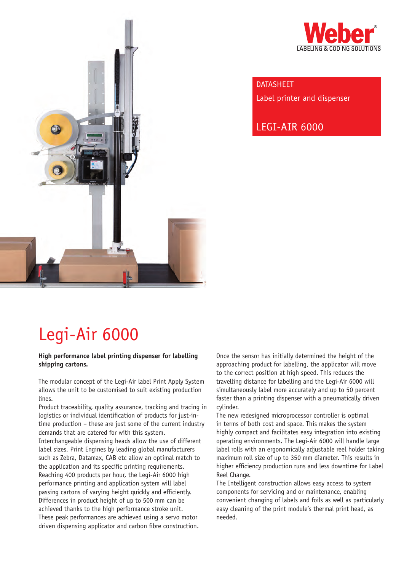



**DATASHEET** Label printer and dispenser

Legi-Air 6000

# Legi-Air 6000

#### **High performance label printing dispenser for labelling shipping cartons.**

The modular concept of the Legi-Air label Print Apply System allows the unit to be customised to suit existing production lines.

Product traceability, quality assurance, tracking and tracing in logistics or individual identification of products for just-intime production – these are just some of the current industry demands that are catered for with this system.

Interchangeable dispensing heads allow the use of different label sizes. Print Engines by leading global manufacturers such as Zebra, Datamax, CAB etc allow an optimal match to the application and its specific printing requirements. Reaching 400 products per hour, the Legi-Air 6000 high performance printing and application system will label passing cartons of varying height quickly and efficiently. Differences in product height of up to 500 mm can be achieved thanks to the high performance stroke unit. These peak performances are achieved using a servo motor driven dispensing applicator and carbon fibre construction.

Once the sensor has initially determined the height of the approaching product for labelling, the applicator will move to the correct position at high speed. This reduces the travelling distance for labelling and the Legi-Air 6000 will simultaneously label more accurately and up to 50 percent faster than a printing dispenser with a pneumatically driven cylinder.

The new redesigned microprocessor controller is optimal in terms of both cost and space. This makes the system highly compact and facilitates easy integration into existing operating environments. The Legi-Air 6000 will handle large label rolls with an ergonomically adjustable reel holder taking maximum roll size of up to 350 mm diameter. This results in higher efficiency production runs and less downtime for Label Reel Change.

The Intelligent construction allows easy access to system components for servicing and or maintenance, enabling convenient changing of labels and foils as well as particularly easy cleaning of the print module's thermal print head, as needed.